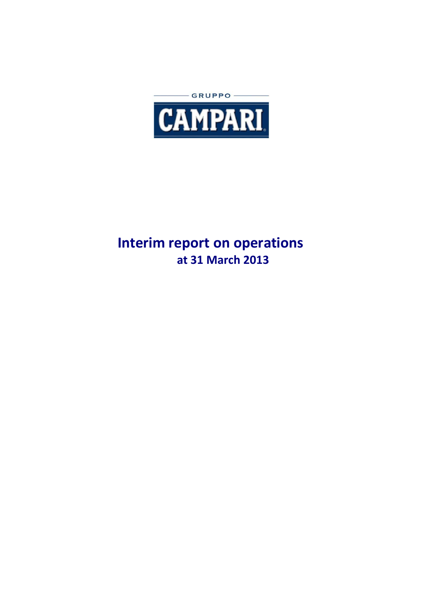

# **Interim report on operations at 31 March 2013**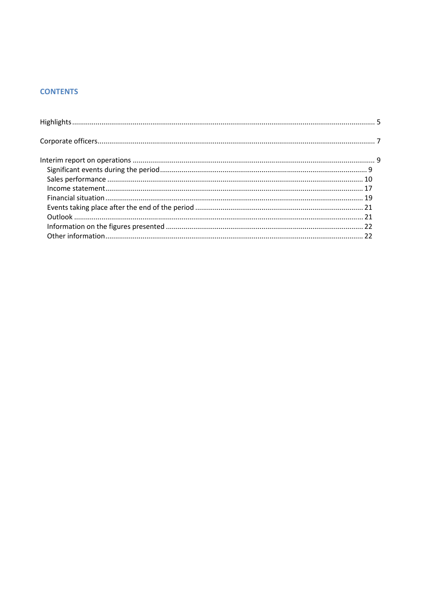## **CONTENTS**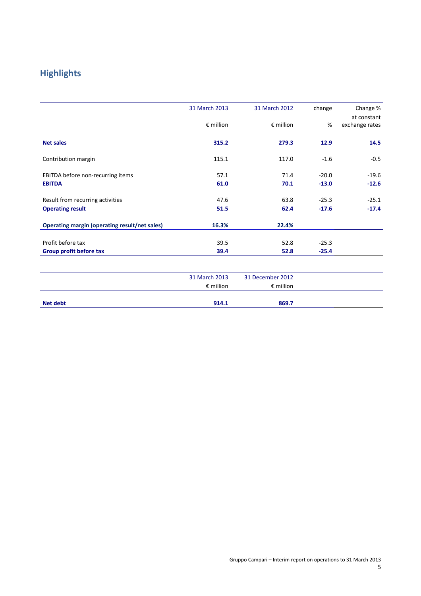## **Highlights**

|                                                      | 31 March 2013      | 31 March 2012      | change  | Change %       |
|------------------------------------------------------|--------------------|--------------------|---------|----------------|
|                                                      |                    |                    |         | at constant    |
|                                                      | $\epsilon$ million | $\epsilon$ million | %       | exchange rates |
| <b>Net sales</b>                                     | 315.2              | 279.3              | 12.9    | 14.5           |
| Contribution margin                                  | 115.1              | 117.0              | $-1.6$  | $-0.5$         |
| EBITDA before non-recurring items                    | 57.1               | 71.4               | $-20.0$ | $-19.6$        |
| <b>EBITDA</b>                                        | 61.0               | 70.1               | $-13.0$ | $-12.6$        |
| Result from recurring activities                     | 47.6               | 63.8               | $-25.3$ | $-25.1$        |
| <b>Operating result</b>                              | 51.5               | 62.4               | $-17.6$ | $-17.4$        |
| <b>Operating margin (operating result/net sales)</b> | 16.3%              | 22.4%              |         |                |
| Profit before tax                                    | 39.5               | 52.8               | $-25.3$ |                |
| Group profit before tax                              | 39.4               | 52.8               | $-25.4$ |                |
|                                                      |                    |                    |         |                |

|          | 31 March 2013      | 31 December 2012   |  |
|----------|--------------------|--------------------|--|
|          | $\epsilon$ million | $\epsilon$ million |  |
|          |                    |                    |  |
| Net debt | 914.1              | 869.7              |  |
|          |                    |                    |  |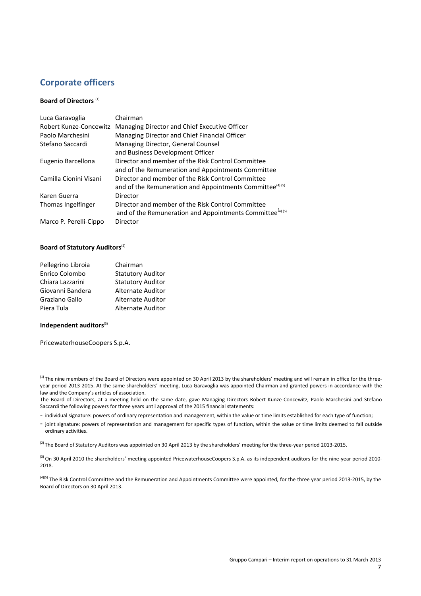## **Corporate officers**

#### **Board of Directors** (1)

| Luca Garavoglia        | Chairman                                                              |
|------------------------|-----------------------------------------------------------------------|
| Robert Kunze-Concewitz | Managing Director and Chief Executive Officer                         |
| Paolo Marchesini       | Managing Director and Chief Financial Officer                         |
| Stefano Saccardi       | Managing Director, General Counsel                                    |
|                        | and Business Development Officer                                      |
| Eugenio Barcellona     | Director and member of the Risk Control Committee                     |
|                        | and of the Remuneration and Appointments Committee                    |
| Camilla Cionini Visani | Director and member of the Risk Control Committee                     |
|                        | and of the Remuneration and Appointments Committee <sup>(4) (5)</sup> |
| Karen Guerra           | Director                                                              |
| Thomas Ingelfinger     | Director and member of the Risk Control Committee                     |
|                        | and of the Remuneration and Appointments Committee <sup>(4) (5)</sup> |
| Marco P. Perelli-Cippo | Director                                                              |

#### **Board of Statutory Auditors**<sup>(2)</sup>

| Pellegrino Libroia | Chairman                 |
|--------------------|--------------------------|
| Enrico Colombo     | <b>Statutory Auditor</b> |
| Chiara Lazzarini   | <b>Statutory Auditor</b> |
| Giovanni Bandera   | <b>Alternate Auditor</b> |
| Graziano Gallo     | <b>Alternate Auditor</b> |
| Piera Tula         | <b>Alternate Auditor</b> |

#### **Independent auditors**<sup>(3)</sup>

PricewaterhouseCoopers S.p.A.

<sup>(1)</sup> The nine members of the Board of Directors were appointed on 30 April 2013 by the shareholders' meeting and will remain in office for the threeyear period 2013-2015. At the same shareholders' meeting, Luca Garavoglia was appointed Chairman and granted powers in accordance with the law and the Company's articles of association.

The Board of Directors, at a meeting held on the same date, gave Managing Directors Robert Kunze-Concewitz, Paolo Marchesini and Stefano Saccardi the following powers for three years until approval of the 2015 financial statements:

- individual signature: powers of ordinary representation and management, within the value or time limits established for each type of function;

- joint signature: powers of representation and management for specific types of function, within the value or time limits deemed to fall outside ordinary activities.

 $^{(2)}$  The Board of Statutory Auditors was appointed on 30 April 2013 by the shareholders' meeting for the three-year period 2013-2015.

<sup>(3)</sup> On 30 April 2010 the shareholders' meeting appointed PricewaterhouseCoopers S.p.A. as its independent auditors for the nine-year period 2010-2018.

<sup>(4)(5)</sup> The Risk Control Committee and the Remuneration and Appointments Committee were appointed, for the three year period 2013-2015, by the Board of Directors on 30 April 2013.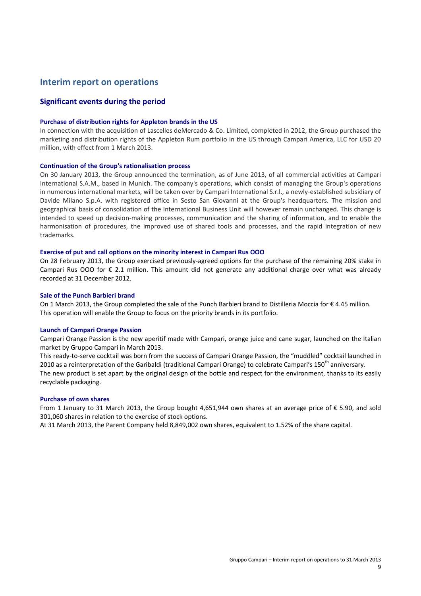### **Interim report on operations**

#### **Significant events during the period**

#### **Purchase of distribution rights for Appleton brands in the US**

In connection with the acquisition of Lascelles deMercado & Co. Limited, completed in 2012, the Group purchased the marketing and distribution rights of the Appleton Rum portfolio in the US through Campari America, LLC for USD 20 million, with effect from 1 March 2013.

#### **Continuation of the Group's rationalisation process**

On 30 January 2013, the Group announced the termination, as of June 2013, of all commercial activities at Campari International S.A.M., based in Munich. The company's operations, which consist of managing the Group's operations in numerous international markets, will be taken over by Campari International S.r.l., a newly-established subsidiary of Davide Milano S.p.A. with registered office in Sesto San Giovanni at the Group's headquarters. The mission and geographical basis of consolidation of the International Business Unit will however remain unchanged. This change is intended to speed up decision-making processes, communication and the sharing of information, and to enable the harmonisation of procedures, the improved use of shared tools and processes, and the rapid integration of new trademarks.

#### **Exercise of put and call options on the minority interest in Campari Rus OOO**

On 28 February 2013, the Group exercised previously-agreed options for the purchase of the remaining 20% stake in Campari Rus OOO for € 2.1 million. This amount did not generate any additional charge over what was already recorded at 31 December 2012.

#### **Sale of the Punch Barbieri brand**

On 1 March 2013, the Group completed the sale of the Punch Barbieri brand to Distilleria Moccia for € 4.45 million. This operation will enable the Group to focus on the priority brands in its portfolio.

#### **Launch of Campari Orange Passion**

Campari Orange Passion is the new aperitif made with Campari, orange juice and cane sugar, launched on the Italian market by Gruppo Campari in March 2013.

This ready-to-serve cocktail was born from the success of Campari Orange Passion, the "muddled" cocktail launched in 2010 as a reinterpretation of the Garibaldi (traditional Campari Orange) to celebrate Campari's 150<sup>th</sup> anniversary. The new product is set apart by the original design of the bottle and respect for the environment, thanks to its easily recyclable packaging.

#### **Purchase of own shares**

From 1 January to 31 March 2013, the Group bought 4,651,944 own shares at an average price of € 5.90, and sold 301,060 shares in relation to the exercise of stock options.

At 31 March 2013, the Parent Company held 8,849,002 own shares, equivalent to 1.52% of the share capital.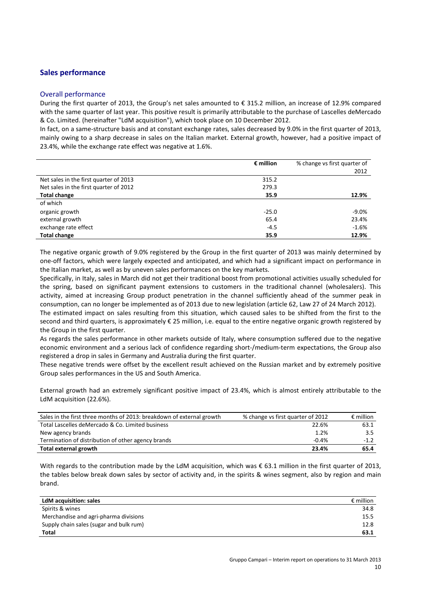#### **Sales performance**

#### Overall performance

During the first quarter of 2013, the Group's net sales amounted to € 315.2 million, an increase of 12.9% compared with the same quarter of last year. This positive result is primarily attributable to the purchase of Lascelles deMercado & Co. Limited. (hereinafter "LdM acquisition"), which took place on 10 December 2012.

In fact, on a same-structure basis and at constant exchange rates, sales decreased by 9.0% in the first quarter of 2013, mainly owing to a sharp decrease in sales on the Italian market. External growth, however, had a positive impact of 23.4%, while the exchange rate effect was negative at 1.6%.

|                                        | $\epsilon$ million | % change vs first quarter of |
|----------------------------------------|--------------------|------------------------------|
|                                        |                    | 2012                         |
| Net sales in the first quarter of 2013 | 315.2              |                              |
| Net sales in the first quarter of 2012 | 279.3              |                              |
| <b>Total change</b>                    | 35.9               | 12.9%                        |
| of which                               |                    |                              |
| organic growth                         | $-25.0$            | $-9.0\%$                     |
| external growth                        | 65.4               | 23.4%                        |
| exchange rate effect                   | $-4.5$             | $-1.6%$                      |
| <b>Total change</b>                    | 35.9               | 12.9%                        |

The negative organic growth of 9.0% registered by the Group in the first quarter of 2013 was mainly determined by one-off factors, which were largely expected and anticipated, and which had a significant impact on performance in the Italian market, as well as by uneven sales performances on the key markets.

Specifically, in Italy, sales in March did not get their traditional boost from promotional activities usually scheduled for the spring, based on significant payment extensions to customers in the traditional channel (wholesalers). This activity, aimed at increasing Group product penetration in the channel sufficiently ahead of the summer peak in consumption, can no longer be implemented as of 2013 due to new legislation (article 62, Law 27 of 24 March 2012).

The estimated impact on sales resulting from this situation, which caused sales to be shifted from the first to the second and third quarters, is approximately € 25 million, i.e. equal to the entire negative organic growth registered by the Group in the first quarter.

As regards the sales performance in other markets outside of Italy, where consumption suffered due to the negative economic environment and a serious lack of confidence regarding short-/medium-term expectations, the Group also registered a drop in sales in Germany and Australia during the first quarter.

These negative trends were offset by the excellent result achieved on the Russian market and by extremely positive Group sales performances in the US and South America.

External growth had an extremely significant positive impact of 23.4%, which is almost entirely attributable to the LdM acquisition (22.6%).

| Sales in the first three months of 2013: breakdown of external growth | % change vs first quarter of 2012 | $\epsilon$ million |
|-----------------------------------------------------------------------|-----------------------------------|--------------------|
| Total Lascelles deMercado & Co. Limited business                      | 22.6%                             | 63.1               |
| New agency brands                                                     | 1.2%                              | 3.5                |
| Termination of distribution of other agency brands                    | $-0.4%$                           | $-1.2$             |
| Total external growth                                                 | 23.4%                             | 65.4               |

With regards to the contribution made by the LdM acquisition, which was € 63.1 million in the first quarter of 2013, the tables below break down sales by sector of activity and, in the spirits & wines segment, also by region and main brand.

| <b>LdM</b> acquisition: sales           | $\epsilon$ million |
|-----------------------------------------|--------------------|
| Spirits & wines                         | 34.8               |
| Merchandise and agri-pharma divisions   | 15.5               |
| Supply chain sales (sugar and bulk rum) | 12.8               |
| <b>Total</b>                            | 63.1               |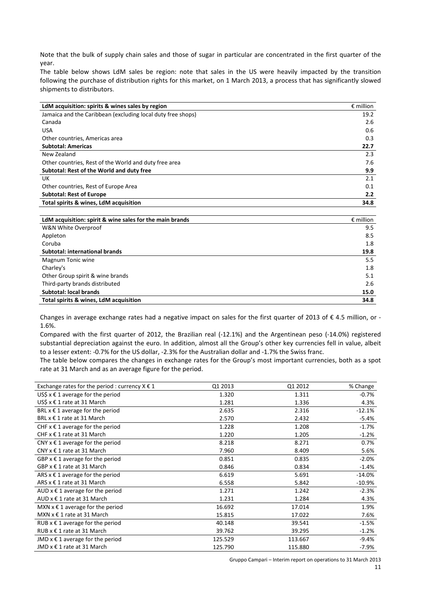Note that the bulk of supply chain sales and those of sugar in particular are concentrated in the first quarter of the year.

The table below shows LdM sales be region: note that sales in the US were heavily impacted by the transition following the purchase of distribution rights for this market, on 1 March 2013, a process that has significantly slowed shipments to distributors.

| LdM acquisition: spirits & wines sales by region            | $\epsilon$ million |
|-------------------------------------------------------------|--------------------|
| Jamaica and the Caribbean (excluding local duty free shops) | 19.2               |
| Canada                                                      | 2.6                |
| <b>USA</b>                                                  | 0.6                |
| Other countries, Americas area                              | 0.3                |
| <b>Subtotal: Americas</b>                                   | 22.7               |
| New Zealand                                                 | 2.3                |
| Other countries, Rest of the World and duty free area       | 7.6                |
| Subtotal: Rest of the World and duty free                   | 9.9                |
| UK                                                          | 2.1                |
| Other countries, Rest of Europe Area                        | 0.1                |
| <b>Subtotal: Rest of Europe</b>                             | 2.2                |
| Total spirits & wines, LdM acquisition                      | 34.8               |

| LdM acquisition: spirit & wine sales for the main brands | $\epsilon$ million |
|----------------------------------------------------------|--------------------|
| W&N White Overproof                                      | 9.5                |
| Appleton                                                 | 8.5                |
| Coruba                                                   | 1.8                |
| Subtotal: international brands                           | 19.8               |
| Magnum Tonic wine                                        | 5.5                |
| Charley's                                                | 1.8                |
| Other Group spirit & wine brands                         | 5.1                |
| Third-party brands distributed                           | 2.6                |
| <b>Subtotal: local brands</b>                            | 15.0               |
| Total spirits & wines, LdM acquisition                   | 34.8               |

Changes in average exchange rates had a negative impact on sales for the first quarter of 2013 of  $\epsilon$  4.5 million, or -1.6%.

Compared with the first quarter of 2012, the Brazilian real (-12.1%) and the Argentinean peso (-14.0%) registered substantial depreciation against the euro. In addition, almost all the Group's other key currencies fell in value, albeit to a lesser extent: -0.7% for the US dollar, -2.3% for the Australian dollar and -1.7% the Swiss franc.

The table below compares the changes in exchange rates for the Group's most important currencies, both as a spot rate at 31 March and as an average figure for the period.

| Exchange rates for the period : currency $X \in \mathbb{1}$ | Q1 2013 | Q1 2012 | % Change  |
|-------------------------------------------------------------|---------|---------|-----------|
| US\$ $x \in 1$ average for the period                       | 1.320   | 1.311   | $-0.7%$   |
| US\$ $x \notin 1$ rate at 31 March                          | 1.281   | 1.336   | 4.3%      |
| BRL $x \in 1$ average for the period                        | 2.635   | 2.316   | $-12.1%$  |
| BRL x € 1 rate at 31 March                                  | 2.570   | 2.432   | -5.4%     |
| CHF $x \in 1$ average for the period                        | 1.228   | 1.208   | $-1.7\%$  |
| CHF $x \in 1$ rate at 31 March                              | 1.220   | 1.205   | $-1.2%$   |
| CNY $x \in 1$ average for the period                        | 8.218   | 8.271   | 0.7%      |
| CNY $x \in 1$ rate at 31 March                              | 7.960   | 8.409   | 5.6%      |
| GBP $x \in 1$ average for the period                        | 0.851   | 0.835   | $-2.0%$   |
| GBP $x \in 1$ rate at 31 March                              | 0.846   | 0.834   | $-1.4%$   |
| ARS $x \in 1$ average for the period                        | 6.619   | 5.691   | $-14.0%$  |
| ARS x € 1 rate at 31 March                                  | 6.558   | 5.842   | $-10.9\%$ |
| AUD $x \in 1$ average for the period                        | 1.271   | 1.242   | $-2.3%$   |
| AUD $x \in 1$ rate at 31 March                              | 1.231   | 1.284   | 4.3%      |
| MXN $x \in 1$ average for the period                        | 16.692  | 17.014  | 1.9%      |
| MXN $x \in 1$ rate at 31 March                              | 15.815  | 17.022  | 7.6%      |
| RUB $x \in 1$ average for the period                        | 40.148  | 39.541  | $-1.5%$   |
| RUB x € 1 rate at 31 March                                  | 39.762  | 39.295  | $-1.2%$   |
| JMD $x \in 1$ average for the period                        | 125.529 | 113.667 | $-9.4%$   |
| JMD $x \in 1$ rate at 31 March                              | 125.790 | 115.880 | $-7.9%$   |

Gruppo Campari – Interim report on operations to 31 March 2013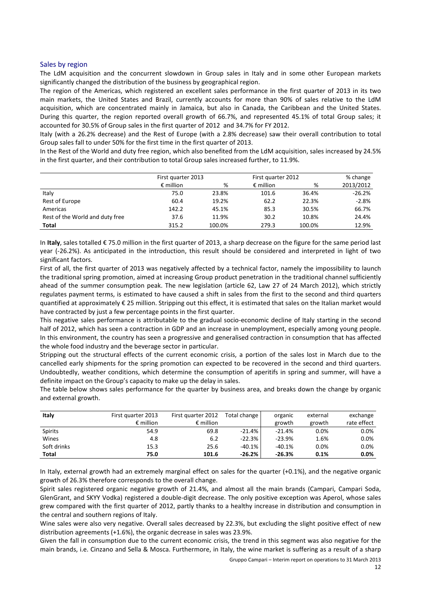#### Sales by region

The LdM acquisition and the concurrent slowdown in Group sales in Italy and in some other European markets significantly changed the distribution of the business by geographical region.

The region of the Americas, which registered an excellent sales performance in the first quarter of 2013 in its two main markets, the United States and Brazil, currently accounts for more than 90% of sales relative to the LdM acquisition, which are concentrated mainly in Jamaica, but also in Canada, the Caribbean and the United States. During this quarter, the region reported overall growth of 66.7%, and represented 45.1% of total Group sales; it accounted for 30.5% of Group sales in the first quarter of 2012 and 34.7% for FY 2012.

Italy (with a 26.2% decrease) and the Rest of Europe (with a 2.8% decrease) saw their overall contribution to total Group sales fall to under 50% for the first time in the first quarter of 2013.

In the Rest of the World and duty free region, which also benefited from the LdM acquisition, sales increased by 24.5% in the first quarter, and their contribution to total Group sales increased further, to 11.9%.

|                                 | First quarter 2013 |        | First quarter 2012 |        | % change  |
|---------------------------------|--------------------|--------|--------------------|--------|-----------|
|                                 | $\epsilon$ million | %      | $\epsilon$ million | %      | 2013/2012 |
| Italy                           | 75.0               | 23.8%  | 101.6              | 36.4%  | $-26.2%$  |
| Rest of Europe                  | 60.4               | 19.2%  | 62.2               | 22.3%  | $-2.8%$   |
| Americas                        | 142.2              | 45.1%  | 85.3               | 30.5%  | 66.7%     |
| Rest of the World and duty free | 37.6               | 11.9%  | 30.2               | 10.8%  | 24.4%     |
| Total                           | 315.2              | 100.0% | 279.3              | 100.0% | 12.9%     |

In **Italy**, sales totalled € 75.0 million in the first quarter of 2013, a sharp decrease on the figure for the same period last year (-26.2%). As anticipated in the introduction, this result should be considered and interpreted in light of two significant factors.

First of all, the first quarter of 2013 was negatively affected by a technical factor, namely the impossibility to launch the traditional spring promotion, aimed at increasing Group product penetration in the traditional channel sufficiently ahead of the summer consumption peak. The new legislation (article 62, Law 27 of 24 March 2012), which strictly regulates payment terms, is estimated to have caused a shift in sales from the first to the second and third quarters quantified at approximately € 25 million. Stripping out this effect, it is estimated that sales on the Italian market would have contracted by just a few percentage points in the first quarter.

This negative sales performance is attributable to the gradual socio-economic decline of Italy starting in the second half of 2012, which has seen a contraction in GDP and an increase in unemployment, especially among young people. In this environment, the country has seen a progressive and generalised contraction in consumption that has affected the whole food industry and the beverage sector in particular.

Stripping out the structural effects of the current economic crisis, a portion of the sales lost in March due to the cancelled early shipments for the spring promotion can expected to be recovered in the second and third quarters. Undoubtedly, weather conditions, which determine the consumption of aperitifs in spring and summer, will have a definite impact on the Group's capacity to make up the delay in sales.

The table below shows sales performance for the quarter by business area, and breaks down the change by organic and external growth.

| Italy          | First quarter 2013<br>$\epsilon$ million | First quarter 2012<br>$\epsilon$ million | Total change | organic<br>growth | external<br>growth | exchange<br>rate effect |
|----------------|------------------------------------------|------------------------------------------|--------------|-------------------|--------------------|-------------------------|
| <b>Spirits</b> | 54.9                                     | 69.8                                     | $-21.4%$     | $-21.4%$          | 0.0%               | 0.0%                    |
| Wines          | 4.8                                      | 6.2                                      | $-22.3%$     | $-23.9%$          | 1.6%               | 0.0%                    |
| Soft drinks    | 15.3                                     | 25.6                                     | $-40.1%$     | $-40.1%$          | 0.0%               | 0.0%                    |
| Total          | 75.0                                     | 101.6                                    | $-26.2%$     | $-26.3%$          | 0.1%               | 0.0%                    |

In Italy, external growth had an extremely marginal effect on sales for the quarter (+0.1%), and the negative organic growth of 26.3% therefore corresponds to the overall change.

Spirit sales registered organic negative growth of 21.4%, and almost all the main brands (Campari, Campari Soda, GlenGrant, and SKYY Vodka) registered a double-digit decrease. The only positive exception was Aperol, whose sales grew compared with the first quarter of 2012, partly thanks to a healthy increase in distribution and consumption in the central and southern regions of Italy.

Wine sales were also very negative. Overall sales decreased by 22.3%, but excluding the slight positive effect of new distribution agreements (+1.6%), the organic decrease in sales was 23.9%.

Given the fall in consumption due to the current economic crisis, the trend in this segment was also negative for the main brands, i.e. Cinzano and Sella & Mosca. Furthermore, in Italy, the wine market is suffering as a result of a sharp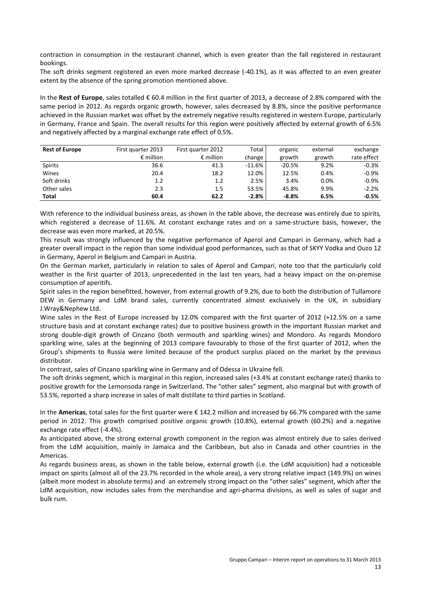contraction in consumption in the restaurant channel, which is even greater than the fall registered in restaurant bookings.

The soft drinks segment registered an even more marked decrease (-40.1%), as it was affected to an even greater extent by the absence of the spring promotion mentioned above.

In the **Rest of Europe**, sales totalled € 60.4 million in the first quarter of 2013, a decrease of 2.8% compared with the same period in 2012. As regards organic growth, however, sales decreased by 8.8%, since the positive performance achieved in the Russian market was offset by the extremely negative results registered in western Europe, particularly in Germany, France and Spain. The overall results for this region were positively affected by external growth of 6.5% and negatively affected by a marginal exchange rate effect of 0.5%.

| <b>Rest of Europe</b> | First quarter 2013 | First quarter 2012 | Total    | organic  | external | exchange    |
|-----------------------|--------------------|--------------------|----------|----------|----------|-------------|
|                       | $\epsilon$ million | $\epsilon$ million | change   | growth   | growth   | rate effect |
| Spirits               | 36.6               | 41.3               | $-11.6%$ | $-20.5%$ | 9.2%     | $-0.3%$     |
| Wines                 | 20.4               | 18.2               | 12.0%    | 12.5%    | 0.4%     | $-0.9%$     |
| Soft drinks           | 1.2                | 1.2                | 2.5%     | 3.4%     | $0.0\%$  | $-0.9%$     |
| Other sales           | 2.3                | 1.5                | 53.5%    | 45.8%    | 9.9%     | $-2.2%$     |
| Total                 | 60.4               | 62.2               | $-2.8%$  | $-8.8%$  | 6.5%     | $-0.5%$     |

With reference to the individual business areas, as shown in the table above, the decrease was entirely due to spirits*,* which registered a decrease of 11.6%. At constant exchange rates and on a same-structure basis, however, the decrease was even more marked, at 20.5%.

This result was strongly influenced by the negative performance of Aperol and Campari in Germany, which had a greater overall impact in the region than some individual good performances, such as that of SKYY Vodka and Ouzo 12 in Germany, Aperol in Belgium and Campari in Austria.

On the German market, particularly in relation to sales of Aperol and Campari, note too that the particularly cold weather in the first quarter of 2013, unprecedented in the last ten years, had a heavy impact on the on-premise consumption of aperitifs.

Spirit sales in the region benefitted, however, from external growth of 9.2%, due to both the distribution of Tullamore DEW in Germany and LdM brand sales, currently concentrated almost exclusively in the UK, in subsidiary J.Wray&Nephew Ltd.

Wine sales in the Rest of Europe increased by 12.0% compared with the first quarter of 2012 (+12.5% on a same structure basis and at constant exchange rates) due to positive business growth in the important Russian market and strong double-digit growth of Cinzano (both vermouth and sparkling wines) and Mondoro. As regards Mondoro sparkling wine, sales at the beginning of 2013 compare favourably to those of the first quarter of 2012, when the Group's shipments to Russia were limited because of the product surplus placed on the market by the previous distributor.

In contrast, sales of Cinzano sparkling wine in Germany and of Odessa in Ukraine fell.

The soft drinks segment, which is marginal in this region, increased sales (+3.4% at constant exchange rates) thanks to positive growth for the Lemonsoda range in Switzerland. The "other sales" segment, also marginal but with growth of 53.5%, reported a sharp increase in sales of malt distillate to third parties in Scotland.

In the **Americas**, total sales for the first quarter were € 142.2 million and increased by 66.7% compared with the same period in 2012. This growth comprised positive organic growth (10.8%), external growth (60.2%) and a negative exchange rate effect (-4.4%).

As anticipated above, the strong external growth component in the region was almost entirely due to sales derived from the LdM acquisition, mainly in Jamaica and the Caribbean, but also in Canada and other countries in the Americas.

As regards business areas, as shown in the table below, external growth (i.e. the LdM acquisition) had a noticeable impact on spirits (almost all of the 23.7% recorded in the whole area), a very strong relative impact (149.9%) on wines (albeit more modest in absolute terms) and an extremely strong impact on the "other sales" segment, which after the LdM acquisition, now includes sales from the merchandise and agri-pharma divisions, as well as sales of sugar and bulk rum.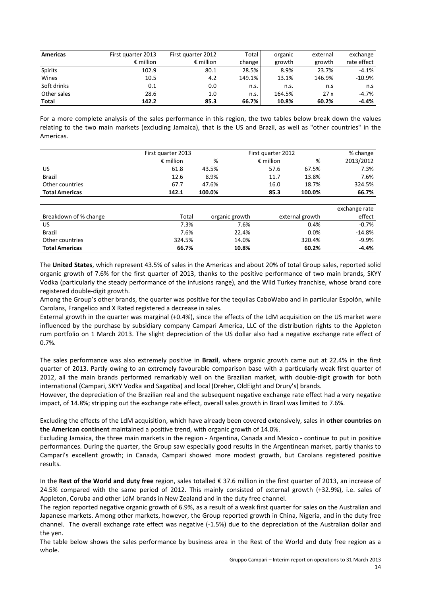| <b>Americas</b> | First quarter 2013 | First quarter 2012 | Total  | organic | external | exchange    |
|-----------------|--------------------|--------------------|--------|---------|----------|-------------|
|                 | $\epsilon$ million | $\epsilon$ million | change | growth  | growth   | rate effect |
| <b>Spirits</b>  | 102.9              | 80.1               | 28.5%  | 8.9%    | 23.7%    | $-4.1%$     |
| Wines           | 10.5               | 4.2                | 149.1% | 13.1%   | 146.9%   | $-10.9\%$   |
| Soft drinks     | 0.1                | 0.0                | n.s.   | n.s.    | n.s      | n.s         |
| Other sales     | 28.6               | 1.0                | n.s.   | 164.5%  | 27x      | $-4.7%$     |
| Total           | 142.2              | 85.3               | 66.7%  | 10.8%   | 60.2%    | -4.4%       |

For a more complete analysis of the sales performance in this region, the two tables below break down the values relating to the two main markets (excluding Jamaica), that is the US and Brazil, as well as "other countries" in the Americas.

|                       | First quarter 2013 |        |                | First quarter 2012 |                 | % change      |
|-----------------------|--------------------|--------|----------------|--------------------|-----------------|---------------|
|                       | $\epsilon$ million | %      |                | $\epsilon$ million | %               | 2013/2012     |
| <b>US</b>             | 61.8               | 43.5%  |                | 57.6               | 67.5%           | 7.3%          |
| <b>Brazil</b>         | 12.6               | 8.9%   |                | 11.7               | 13.8%           | 7.6%          |
| Other countries       | 67.7               | 47.6%  |                | 16.0               | 18.7%           | 324.5%        |
| <b>Total Americas</b> | 142.1              | 100.0% |                | 85.3               | 100.0%          | 66.7%         |
|                       |                    |        |                |                    |                 |               |
|                       |                    |        |                |                    |                 | exchange rate |
| Breakdown of % change | Total              |        | organic growth |                    | external growth | effect        |
| US.                   | 7.3%               |        | 7.6%           |                    | 0.4%            | $-0.7%$       |
| <b>Brazil</b>         | 7.6%               |        | 22.4%          |                    | 0.0%            | $-14.8%$      |
| Other countries       | 324.5%             |        | 14.0%          |                    | 320.4%          | $-9.9%$       |
| <b>Total Americas</b> | 66.7%              |        | 10.8%          |                    | 60.2%           | $-4.4%$       |

The **United States**, which represent 43.5% of sales in the Americas and about 20% of total Group sales, reported solid organic growth of 7.6% for the first quarter of 2013, thanks to the positive performance of two main brands, SKYY Vodka (particularly the steady performance of the infusions range), and the Wild Turkey franchise, whose brand core registered double-digit growth.

Among the Group's other brands, the quarter was positive for the tequilas CaboWabo and in particular Espolón, while Carolans, Frangelico and X Rated registered a decrease in sales.

External growth in the quarter was marginal (+0.4%), since the effects of the LdM acquisition on the US market were influenced by the purchase by subsidiary company Campari America, LLC of the distribution rights to the Appleton rum portfolio on 1 March 2013. The slight depreciation of the US dollar also had a negative exchange rate effect of 0.7%.

The sales performance was also extremely positive in **Brazil**, where organic growth came out at 22.4% in the first quarter of 2013. Partly owing to an extremely favourable comparison base with a particularly weak first quarter of 2012, all the main brands performed remarkably well on the Brazilian market, with double-digit growth for both international (Campari, SKYY Vodka and Sagatiba) and local (Dreher, OldEight and Drury's) brands.

However, the depreciation of the Brazilian real and the subsequent negative exchange rate effect had a very negative impact, of 14.8%; stripping out the exchange rate effect, overall sales growth in Brazil was limited to 7.6%.

Excluding the effects of the LdM acquisition, which have already been covered extensively, sales in **other countries on the American continent** maintained a positive trend, with organic growth of 14.0%.

Excluding Jamaica, the three main markets in the region - Argentina, Canada and Mexico - continue to put in positive performances. During the quarter, the Group saw especially good results in the Argentinean market, partly thanks to Campari's excellent growth; in Canada, Campari showed more modest growth, but Carolans registered positive results.

In the **Rest of the World and duty free** region, sales totalled € 37.6 million in the first quarter of 2013, an increase of 24.5% compared with the same period of 2012. This mainly consisted of external growth (+32.9%), i.e. sales of Appleton, Coruba and other LdM brands in New Zealand and in the duty free channel.

The region reported negative organic growth of 6.9%, as a result of a weak first quarter for sales on the Australian and Japanese markets. Among other markets, however, the Group reported growth in China, Nigeria, and in the duty free channel. The overall exchange rate effect was negative (-1.5%) due to the depreciation of the Australian dollar and the yen.

The table below shows the sales performance by business area in the Rest of the World and duty free region as a whole.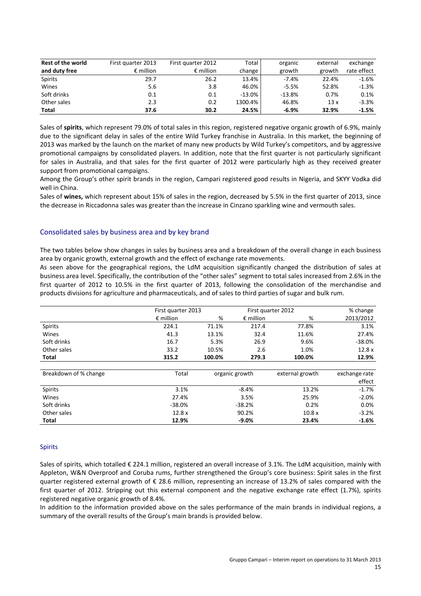| <b>Rest of the world</b> | First quarter 2013 | First quarter 2012 | Total    | organic  | external | exchange    |
|--------------------------|--------------------|--------------------|----------|----------|----------|-------------|
| and duty free            | $\epsilon$ million | $\epsilon$ million | change   | growth   | growth   | rate effect |
| <b>Spirits</b>           | 29.7               | 26.2               | 13.4%    | $-7.4%$  | 22.4%    | $-1.6%$     |
| Wines                    | 5.6                | 3.8                | 46.0%    | $-5.5%$  | 52.8%    | $-1.3%$     |
| Soft drinks              | 0.1                | 0.1                | $-13.0%$ | $-13.8%$ | 0.7%     | 0.1%        |
| Other sales              | 2.3                | 0.2                | 1300.4%  | 46.8%    | 13x      | $-3.3%$     |
| Total                    | 37.6               | 30.2               | 24.5%    | $-6.9%$  | 32.9%    | $-1.5%$     |

Sales of **spirits**, which represent 79.0% of total sales in this region, registered negative organic growth of 6.9%, mainly due to the significant delay in sales of the entire Wild Turkey franchise in Australia. In this market, the beginning of 2013 was marked by the launch on the market of many new products by Wild Turkey's competitors, and by aggressive promotional campaigns by consolidated players*.* In addition, note that the first quarter is not particularly significant for sales in Australia, and that sales for the first quarter of 2012 were particularly high as they received greater support from promotional campaigns.

Among the Group's other spirit brands in the region, Campari registered good results in Nigeria, and SKYY Vodka did well in China.

Sales of **wines,** which represent about 15% of sales in the region, decreased by 5.5% in the first quarter of 2013, since the decrease in Riccadonna sales was greater than the increase in Cinzano sparkling wine and vermouth sales.

#### Consolidated sales by business area and by key brand

The two tables below show changes in sales by business area and a breakdown of the overall change in each business area by organic growth, external growth and the effect of exchange rate movements.

As seen above for the geographical regions, the LdM acquisition significantly changed the distribution of sales at business area level. Specifically, the contribution of the "other sales" segment to total sales increased from 2.6% in the first quarter of 2012 to 10.5% in the first quarter of 2013, following the consolidation of the merchandise and products divisions for agriculture and pharmaceuticals, and of sales to third parties of sugar and bulk rum.

|                       | First quarter 2013 |        | First quarter 2012 |                 | % change      |
|-----------------------|--------------------|--------|--------------------|-----------------|---------------|
|                       | $\epsilon$ million | %      | $\epsilon$ million | %               | 2013/2012     |
| Spirits               | 224.1              | 71.1%  | 217.4              | 77.8%           | 3.1%          |
| Wines                 | 41.3               | 13.1%  | 32.4               | 11.6%           | 27.4%         |
| Soft drinks           | 16.7               | 5.3%   | 26.9               | 9.6%            | $-38.0%$      |
| Other sales           | 33.2               | 10.5%  | 2.6                | 1.0%            | 12.8x         |
| Total                 | 315.2              | 100.0% | 279.3              | 100.0%          | 12.9%         |
|                       |                    |        |                    |                 |               |
| Breakdown of % change | Total              |        | organic growth     | external growth | exchange rate |
|                       |                    |        |                    |                 | effect        |
| <b>Spirits</b>        | 3.1%               |        | $-8.4%$            | 13.2%           | $-1.7%$       |
| Wines                 | 27.4%              |        | 3.5%               | 25.9%           | $-2.0%$       |
| Soft drinks           | $-38.0%$           |        | $-38.2%$           | 0.2%            | 0.0%          |
| Other sales           | 12.8x              |        | 90.2%              | 10.8x           | $-3.2%$       |
| Total                 | 12.9%              |        | $-9.0%$            | 23.4%           | $-1.6%$       |

#### Spirits

Sales of spirits*,* which totalled € 224.1 million, registered an overall increase of 3.1%. The LdM acquisition, mainly with Appleton, W&N Overproof and Coruba rums, further strengthened the Group's core business: Spirit sales in the first quarter registered external growth of € 28.6 million, representing an increase of 13.2% of sales compared with the first quarter of 2012. Stripping out this external component and the negative exchange rate effect (1.7%), spirits registered negative organic growth of 8.4%.

In addition to the information provided above on the sales performance of the main brands in individual regions, a summary of the overall results of the Group's main brands is provided below.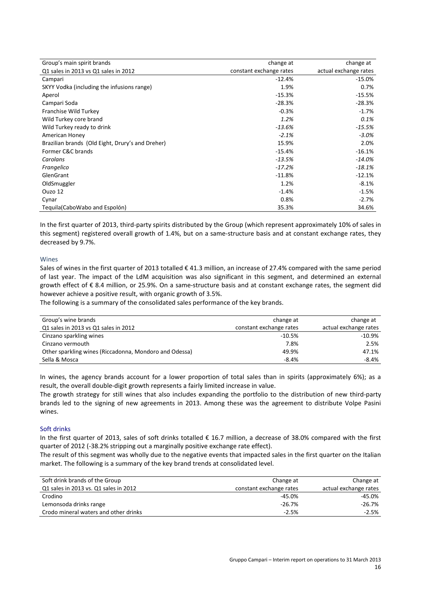| Group's main spirit brands                       | change at               | change at             |
|--------------------------------------------------|-------------------------|-----------------------|
| Q1 sales in 2013 vs Q1 sales in 2012             | constant exchange rates | actual exchange rates |
| Campari                                          | $-12.4%$                | -15.0%                |
| SKYY Vodka (including the infusions range)       | 1.9%                    | 0.7%                  |
| Aperol                                           | $-15.3%$                | $-15.5%$              |
| Campari Soda                                     | $-28.3%$                | $-28.3%$              |
| Franchise Wild Turkey                            | $-0.3%$                 | $-1.7%$               |
| Wild Turkey core brand                           | 1.2%                    | 0.1%                  |
| Wild Turkey ready to drink                       | $-13.6%$                | $-15.5%$              |
| American Honey                                   | $-2.1%$                 | $-3.0%$               |
| Brazilian brands (Old Eight, Drury's and Dreher) | 15.9%                   | 2.0%                  |
| Former C&C brands                                | $-15.4%$                | $-16.1%$              |
| Carolans                                         | $-13.5%$                | $-14.0%$              |
| Frangelico                                       | $-17.2%$                | $-18.1%$              |
| GlenGrant                                        | $-11.8%$                | $-12.1%$              |
| OldSmuggler                                      | 1.2%                    | $-8.1%$               |
| Ouzo 12                                          | $-1.4%$                 | $-1.5%$               |
| Cynar                                            | 0.8%                    | $-2.7%$               |
| Teguila (Cabo Wabo and Espolón)                  | 35.3%                   | 34.6%                 |

In the first quarter of 2013, third-party spirits distributed by the Group (which represent approximately 10% of sales in this segment) registered overall growth of 1.4%, but on a same-structure basis and at constant exchange rates, they decreased by 9.7%.

#### **Wines**

Sales of wines in the first quarter of 2013 totalled  $\epsilon$  41.3 million, an increase of 27.4% compared with the same period of last year. The impact of the LdM acquisition was also significant in this segment, and determined an external growth effect of € 8.4 million, or 25.9%. On a same-structure basis and at constant exchange rates, the segment did however achieve a positive result, with organic growth of 3.5%.

The following is a summary of the consolidated sales performance of the key brands.

| Group's wine brands                                    | change at               | change at             |
|--------------------------------------------------------|-------------------------|-----------------------|
| Q1 sales in 2013 vs Q1 sales in 2012                   | constant exchange rates | actual exchange rates |
| Cinzano sparkling wines                                | $-10.5%$                | -10.9%                |
| Cinzano vermouth                                       | 7.8%                    | 2.5%                  |
| Other sparkling wines (Riccadonna, Mondoro and Odessa) | 49.9%                   | 47.1%                 |
| Sella & Mosca                                          | $-8.4%$                 | $-8.4\%$              |

In wines, the agency brands account for a lower proportion of total sales than in spirits (approximately 6%); as a result, the overall double-digit growth represents a fairly limited increase in value.

The growth strategy for still wines that also includes expanding the portfolio to the distribution of new third-party brands led to the signing of new agreements in 2013. Among these was the agreement to distribute Volpe Pasini wines.

#### Soft drinks

In the first quarter of 2013, sales of soft drinks totalled € 16.7 million, a decrease of 38.0% compared with the first quarter of 2012 (-38.2% stripping out a marginally positive exchange rate effect).

The result of this segment was wholly due to the negative events that impacted sales in the first quarter on the Italian market. The following is a summary of the key brand trends at consolidated level.

| Soft drink brands of the Group        | Change at               | Change at             |
|---------------------------------------|-------------------------|-----------------------|
| Q1 sales in 2013 vs. Q1 sales in 2012 | constant exchange rates | actual exchange rates |
| Crodino                               | $-45.0%$                | -45.0%                |
| Lemonsoda drinks range                | $-26.7%$                | -26.7%                |
| Crodo mineral waters and other drinks | $-2.5%$                 | $-2.5%$               |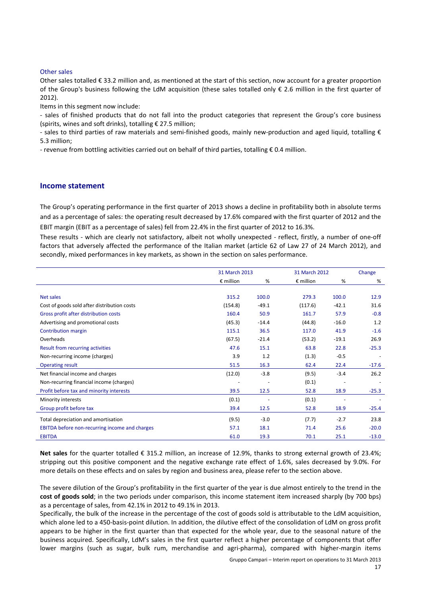#### Other sales

Other sales totalled € 33.2 million and, as mentioned at the start of this section, now account for a greater proportion of the Group's business following the LdM acquisition (these sales totalled only  $\epsilon$  2.6 million in the first quarter of 2012).

Items in this segment now include:

- sales of finished products that do not fall into the product categories that represent the Group's core business (spirits, wines and soft drinks), totalling € 27.5 million;

- sales to third parties of raw materials and semi-finished goods, mainly new-production and aged liquid, totalling € 5.3 million;

- revenue from bottling activities carried out on behalf of third parties, totalling € 0.4 million.

#### **Income statement**

The Group's operating performance in the first quarter of 2013 shows a decline in profitability both in absolute terms and as a percentage of sales: the operating result decreased by 17.6% compared with the first quarter of 2012 and the EBIT margin (EBIT as a percentage of sales) fell from 22.4% in the first quarter of 2012 to 16.3%.

These results - which are clearly not satisfactory, albeit not wholly unexpected - reflect, firstly, a number of one-off factors that adversely affected the performance of the Italian market (article 62 of Law 27 of 24 March 2012), and secondly, mixed performances in key markets, as shown in the section on sales performance.

|                                                |                    | 31 March 2013 |                    | 31 March 2012 | Change  |
|------------------------------------------------|--------------------|---------------|--------------------|---------------|---------|
|                                                | $\epsilon$ million | %             | $\epsilon$ million | %             | %       |
|                                                |                    |               |                    |               |         |
| Net sales                                      | 315.2              | 100.0         | 279.3              | 100.0         | 12.9    |
| Cost of goods sold after distribution costs    | (154.8)            | $-49.1$       | (117.6)            | $-42.1$       | 31.6    |
| Gross profit after distribution costs          | 160.4              | 50.9          | 161.7              | 57.9          | $-0.8$  |
| Advertising and promotional costs              | (45.3)             | $-14.4$       | (44.8)             | $-16.0$       | 1.2     |
| Contribution margin                            | 115.1              | 36.5          | 117.0              | 41.9          | $-1.6$  |
| Overheads                                      | (67.5)             | $-21.4$       | (53.2)             | $-19.1$       | 26.9    |
| Result from recurring activities               | 47.6               | 15.1          | 63.8               | 22.8          | $-25.3$ |
| Non-recurring income (charges)                 | 3.9                | 1.2           | (1.3)              | $-0.5$        |         |
| <b>Operating result</b>                        | 51.5               | 16.3          | 62.4               | 22.4          | $-17.6$ |
| Net financial income and charges               | (12.0)             | $-3.8$        | (9.5)              | $-3.4$        | 26.2    |
| Non-recurring financial income (charges)       |                    |               | (0.1)              |               |         |
| Profit before tax and minority interests       | 39.5               | 12.5          | 52.8               | 18.9          | $-25.3$ |
| Minority interests                             | (0.1)              |               | (0.1)              |               |         |
| Group profit before tax                        | 39.4               | 12.5          | 52.8               | 18.9          | $-25.4$ |
| Total depreciation and amortisation            | (9.5)              | $-3.0$        | (7.7)              | $-2.7$        | 23.8    |
| EBITDA before non-recurring income and charges | 57.1               | 18.1          | 71.4               | 25.6          | $-20.0$ |
| <b>EBITDA</b>                                  | 61.0               | 19.3          | 70.1               | 25.1          | $-13.0$ |

**Net sales** for the quarter totalled € 315.2 million, an increase of 12.9%, thanks to strong external growth of 23.4%; stripping out this positive component and the negative exchange rate effect of 1.6%, sales decreased by 9.0%. For more details on these effects and on sales by region and business area, please refer to the section above.

The severe dilution of the Group's profitability in the first quarter of the year is due almost entirely to the trend in the **cost of goods sold**; in the two periods under comparison, this income statement item increased sharply (by 700 bps) as a percentage of sales, from 42.1% in 2012 to 49.1% in 2013.

Specifically, the bulk of the increase in the percentage of the cost of goods sold is attributable to the LdM acquisition, which alone led to a 450-basis-point dilution. In addition, the dilutive effect of the consolidation of LdM on gross profit appears to be higher in the first quarter than that expected for the whole year, due to the seasonal nature of the business acquired. Specifically, LdM's sales in the first quarter reflect a higher percentage of components that offer lower margins (such as sugar, bulk rum, merchandise and agri-pharma), compared with higher-margin items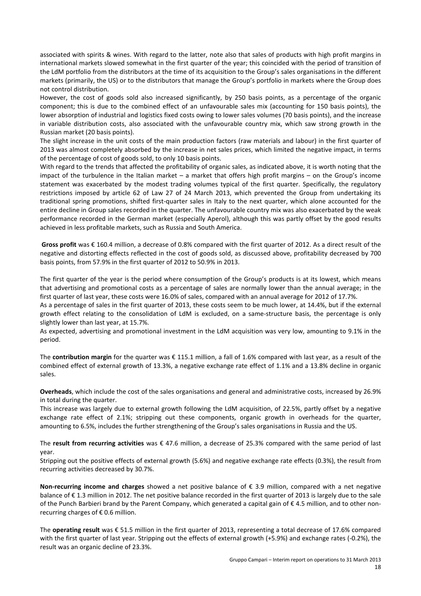associated with spirits & wines. With regard to the latter, note also that sales of products with high profit margins in international markets slowed somewhat in the first quarter of the year; this coincided with the period of transition of the LdM portfolio from the distributors at the time of its acquisition to the Group's sales organisations in the different markets (primarily, the US) or to the distributors that manage the Group's portfolio in markets where the Group does not control distribution.

However, the cost of goods sold also increased significantly, by 250 basis points, as a percentage of the organic component; this is due to the combined effect of an unfavourable sales mix (accounting for 150 basis points), the lower absorption of industrial and logistics fixed costs owing to lower sales volumes (70 basis points), and the increase in variable distribution costs, also associated with the unfavourable country mix, which saw strong growth in the Russian market (20 basis points).

The slight increase in the unit costs of the main production factors (raw materials and labour) in the first quarter of 2013 was almost completely absorbed by the increase in net sales prices, which limited the negative impact, in terms of the percentage of cost of goods sold, to only 10 basis points.

With regard to the trends that affected the profitability of organic sales, as indicated above, it is worth noting that the impact of the turbulence in the Italian market – a market that offers high profit margins – on the Group's income statement was exacerbated by the modest trading volumes typical of the first quarter. Specifically, the regulatory restrictions imposed by article 62 of Law 27 of 24 March 2013, which prevented the Group from undertaking its traditional spring promotions, shifted first-quarter sales in Italy to the next quarter, which alone accounted for the entire decline in Group sales recorded in the quarter. The unfavourable country mix was also exacerbated by the weak performance recorded in the German market (especially Aperol), although this was partly offset by the good results achieved in less profitable markets, such as Russia and South America.

**Gross profit** was € 160.4 million, a decrease of 0.8% compared with the first quarter of 2012. As a direct result of the negative and distorting effects reflected in the cost of goods sold, as discussed above, profitability decreased by 700 basis points, from 57.9% in the first quarter of 2012 to 50.9% in 2013.

The first quarter of the year is the period where consumption of the Group's products is at its lowest, which means that advertising and promotional costs as a percentage of sales are normally lower than the annual average; in the first quarter of last year, these costs were 16.0% of sales, compared with an annual average for 2012 of 17.7%.

As a percentage of sales in the first quarter of 2013, these costs seem to be much lower, at 14.4%, but if the external growth effect relating to the consolidation of LdM is excluded, on a same-structure basis, the percentage is only slightly lower than last year, at 15.7%.

As expected, advertising and promotional investment in the LdM acquisition was very low, amounting to 9.1% in the period.

The **contribution margin** for the quarter was € 115.1 million, a fall of 1.6% compared with last year, as a result of the combined effect of external growth of 13.3%, a negative exchange rate effect of 1.1% and a 13.8% decline in organic sales.

**Overheads**, which include the cost of the sales organisations and general and administrative costs, increased by 26.9% in total during the quarter.

This increase was largely due to external growth following the LdM acquisition, of 22.5%, partly offset by a negative exchange rate effect of 2.1%; stripping out these components, organic growth in overheads for the quarter, amounting to 6.5%, includes the further strengthening of the Group's sales organisations in Russia and the US.

The **result from recurring activities** was € 47.6 million, a decrease of 25.3% compared with the same period of last year.

Stripping out the positive effects of external growth (5.6%) and negative exchange rate effects (0.3%), the result from recurring activities decreased by 30.7%.

**Non-recurring income and charges** showed a net positive balance of € 3.9 million, compared with a net negative balance of € 1.3 million in 2012. The net positive balance recorded in the first quarter of 2013 is largely due to the sale of the Punch Barbieri brand by the Parent Company, which generated a capital gain of € 4.5 million, and to other nonrecurring charges of  $\epsilon$  0.6 million.

The **operating result** was € 51.5 million in the first quarter of 2013, representing a total decrease of 17.6% compared with the first quarter of last year. Stripping out the effects of external growth (+5.9%) and exchange rates (-0.2%), the result was an organic decline of 23.3%.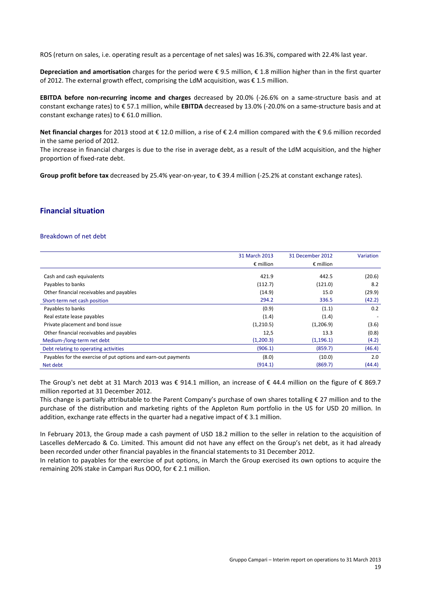ROS (return on sales, i.e. operating result as a percentage of net sales) was 16.3%, compared with 22.4% last year.

**Depreciation and amortisation** charges for the period were € 9.5 million, € 1.8 million higher than in the first quarter of 2012. The external growth effect, comprising the LdM acquisition, was € 1.5 million.

**EBITDA before non-recurring income and charges** decreased by 20.0% (-26.6% on a same-structure basis and at constant exchange rates) to € 57.1 million, while **EBITDA** decreased by 13.0% (-20.0% on a same-structure basis and at constant exchange rates) to € 61.0 million.

**Net financial charges** for 2013 stood at € 12.0 million, a rise of € 2.4 million compared with the € 9.6 million recorded in the same period of 2012.

The increase in financial charges is due to the rise in average debt, as a result of the LdM acquisition, and the higher proportion of fixed-rate debt.

**Group profit before tax** decreased by 25.4% year-on-year, to € 39.4 million (-25.2% at constant exchange rates).

#### **Financial situation**

#### Breakdown of net debt

|                                                                | 31 March 2013      | 31 December 2012   | <b>Variation</b> |
|----------------------------------------------------------------|--------------------|--------------------|------------------|
|                                                                | $\epsilon$ million | $\epsilon$ million |                  |
| Cash and cash equivalents                                      | 421.9              | 442.5              | (20.6)           |
| Payables to banks                                              | (112.7)            | (121.0)            | 8.2              |
| Other financial receivables and payables                       | (14.9)             | 15.0               | (29.9)           |
| Short-term net cash position                                   | 294.2              | 336.5              | (42.2)           |
| Payables to banks                                              | (0.9)              | (1.1)              | 0.2              |
| Real estate lease payables                                     | (1.4)              | (1.4)              |                  |
| Private placement and bond issue                               | (1,210.5)          | (1,206.9)          | (3.6)            |
| Other financial receivables and payables                       | 12,5               | 13.3               | (0.8)            |
| Medium-/long-term net debt                                     | (1,200.3)          | (1, 196.1)         | (4.2)            |
| Debt relating to operating activities                          | (906.1)            | (859.7)            | (46.4)           |
| Payables for the exercise of put options and earn-out payments | (8.0)              | (10.0)             | 2.0              |
| Net debt                                                       | (914.1)            | (869.7)            | (44.4)           |

The Group's net debt at 31 March 2013 was € 914.1 million, an increase of € 44.4 million on the figure of € 869.7 million reported at 31 December 2012.

This change is partially attributable to the Parent Company's purchase of own shares totalling € 27 million and to the purchase of the distribution and marketing rights of the Appleton Rum portfolio in the US for USD 20 million. In addition, exchange rate effects in the quarter had a negative impact of  $\epsilon$  3.1 million.

In February 2013, the Group made a cash payment of USD 18.2 million to the seller in relation to the acquisition of Lascelles deMercado & Co. Limited. This amount did not have any effect on the Group's net debt, as it had already been recorded under other financial payables in the financial statements to 31 December 2012.

In relation to payables for the exercise of put options, in March the Group exercised its own options to acquire the remaining 20% stake in Campari Rus OOO, for € 2.1 million.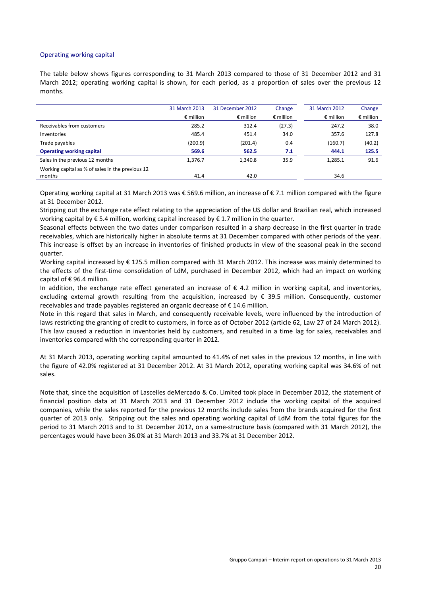#### Operating working capital

The table below shows figures corresponding to 31 March 2013 compared to those of 31 December 2012 and 31 March 2012; operating working capital is shown, for each period, as a proportion of sales over the previous 12 months.

|                                                  | 31 March 2013<br>$\epsilon$ million | 31 December 2012<br>$\epsilon$ million | Change<br>$\epsilon$ million | 31 March 2012<br>$\epsilon$ million | Change<br>$\epsilon$ million |
|--------------------------------------------------|-------------------------------------|----------------------------------------|------------------------------|-------------------------------------|------------------------------|
|                                                  |                                     |                                        |                              |                                     |                              |
| Receivables from customers                       | 285.2                               | 312.4                                  | (27.3)                       | 247.2                               | 38.0                         |
| Inventories                                      | 485.4                               | 451.4                                  | 34.0                         | 357.6                               | 127.8                        |
| Trade payables                                   | (200.9)                             | (201.4)                                | 0.4                          | (160.7)                             | (40.2)                       |
| <b>Operating working capital</b>                 | 569.6                               | 562.5                                  | 7.1                          | 444.1                               | 125.5                        |
| Sales in the previous 12 months                  | 1,376.7                             | 1.340.8                                | 35.9                         | 1,285.1                             | 91.6                         |
| Working capital as % of sales in the previous 12 |                                     |                                        |                              |                                     |                              |
| months                                           | 41.4                                | 42.0                                   |                              | 34.6                                |                              |

Operating working capital at 31 March 2013 was € 569.6 million, an increase of € 7.1 million compared with the figure at 31 December 2012.

Stripping out the exchange rate effect relating to the appreciation of the US dollar and Brazilian real, which increased working capital by € 5.4 million, working capital increased by € 1.7 million in the quarter.

Seasonal effects between the two dates under comparison resulted in a sharp decrease in the first quarter in trade receivables, which are historically higher in absolute terms at 31 December compared with other periods of the year. This increase is offset by an increase in inventories of finished products in view of the seasonal peak in the second quarter.

Working capital increased by € 125.5 million compared with 31 March 2012. This increase was mainly determined to the effects of the first-time consolidation of LdM, purchased in December 2012, which had an impact on working capital of € 96.4 million.

In addition, the exchange rate effect generated an increase of  $\epsilon$  4.2 million in working capital, and inventories, excluding external growth resulting from the acquisition, increased by € 39.5 million. Consequently, customer receivables and trade payables registered an organic decrease of € 14.6 million.

Note in this regard that sales in March, and consequently receivable levels, were influenced by the introduction of laws restricting the granting of credit to customers, in force as of October 2012 (article 62, Law 27 of 24 March 2012). This law caused a reduction in inventories held by customers, and resulted in a time lag for sales, receivables and inventories compared with the corresponding quarter in 2012.

At 31 March 2013, operating working capital amounted to 41.4% of net sales in the previous 12 months, in line with the figure of 42.0% registered at 31 December 2012. At 31 March 2012, operating working capital was 34.6% of net sales.

Note that, since the acquisition of Lascelles deMercado & Co. Limited took place in December 2012, the statement of financial position data at 31 March 2013 and 31 December 2012 include the working capital of the acquired companies, while the sales reported for the previous 12 months include sales from the brands acquired for the first quarter of 2013 only. Stripping out the sales and operating working capital of LdM from the total figures for the period to 31 March 2013 and to 31 December 2012, on a same-structure basis (compared with 31 March 2012), the percentages would have been 36.0% at 31 March 2013 and 33.7% at 31 December 2012.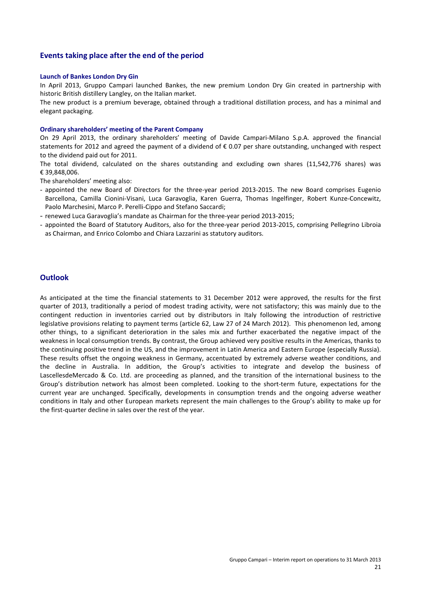#### **Events taking place after the end of the period**

#### **Launch of Bankes London Dry Gin**

In April 2013, Gruppo Campari launched Bankes, the new premium London Dry Gin created in partnership with historic British distillery Langley, on the Italian market.

The new product is a premium beverage, obtained through a traditional distillation process, and has a minimal and elegant packaging.

#### **Ordinary shareholders' meeting of the Parent Company**

On 29 April 2013, the ordinary shareholders' meeting of Davide Campari-Milano S.p.A. approved the financial statements for 2012 and agreed the payment of a dividend of € 0.07 per share outstanding, unchanged with respect to the dividend paid out for 2011.

The total dividend, calculated on the shares outstanding and excluding own shares (11,542,776 shares) was € 39,848,006.

The shareholders' meeting also:

- appointed the new Board of Directors for the three-year period 2013-2015. The new Board comprises Eugenio Barcellona, Camilla Cionini-Visani, Luca Garavoglia, Karen Guerra, Thomas Ingelfinger, Robert Kunze-Concewitz, Paolo Marchesini, Marco P. Perelli-Cippo and Stefano Saccardi;
- renewed Luca Garavoglia's mandate as Chairman for the three-year period 2013-2015;
- appointed the Board of Statutory Auditors, also for the three-year period 2013-2015, comprising Pellegrino Libroia as Chairman, and Enrico Colombo and Chiara Lazzarini as statutory auditors.

#### **Outlook**

As anticipated at the time the financial statements to 31 December 2012 were approved, the results for the first quarter of 2013, traditionally a period of modest trading activity, were not satisfactory; this was mainly due to the contingent reduction in inventories carried out by distributors in Italy following the introduction of restrictive legislative provisions relating to payment terms (article 62, Law 27 of 24 March 2012). This phenomenon led, among other things, to a significant deterioration in the sales mix and further exacerbated the negative impact of the weakness in local consumption trends. By contrast, the Group achieved very positive results in the Americas, thanks to the continuing positive trend in the US, and the improvement in Latin America and Eastern Europe (especially Russia). These results offset the ongoing weakness in Germany, accentuated by extremely adverse weather conditions, and the decline in Australia. In addition, the Group's activities to integrate and develop the business of LascellesdeMercado & Co. Ltd. are proceeding as planned, and the transition of the international business to the Group's distribution network has almost been completed. Looking to the short-term future, expectations for the current year are unchanged. Specifically, developments in consumption trends and the ongoing adverse weather conditions in Italy and other European markets represent the main challenges to the Group's ability to make up for the first-quarter decline in sales over the rest of the year.